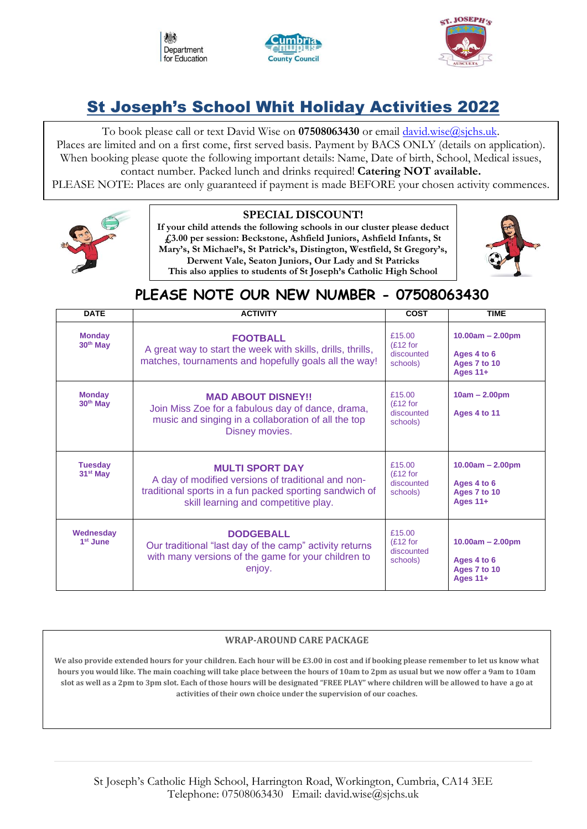





# St Joseph's School Whit Holiday Activities 2022

To book please call or text David Wise on **07508063430** or email [david.wise@sjchs.uk.](about:blank) Places are limited and on a first come, first served basis. Payment by BACS ONLY (details on application). When booking please quote the following important details: Name, Date of birth, School, Medical issues, contact number. Packed lunch and drinks required! **Catering NOT available.** 

PLEASE NOTE: Places are only guaranteed if payment is made BEFORE your chosen activity commences.



### **SPECIAL DISCOUNT!**

**If your child attends the following schools in our cluster please deduct £3.00 per session: Beckstone, Ashfield Juniors, Ashfield Infants, St Mary's, St Michael's, St Patrick's, Distington, Westfield, St Gregory's, Derwent Vale, Seaton Juniors, Our Lady and St Patricks This also applies to students of St Joseph's Catholic High School**



# **PLEASE NOTE OUR NEW NUMBER - 07508063430**

| <b>DATE</b>                            | <b>ACTIVITY</b>                                                                                                                                                                 | <b>COST</b>                                     | <b>TIME</b>                                                   |
|----------------------------------------|---------------------------------------------------------------------------------------------------------------------------------------------------------------------------------|-------------------------------------------------|---------------------------------------------------------------|
| <b>Monday</b><br>30 <sup>th</sup> May  | <b>FOOTBALL</b><br>A great way to start the week with skills, drills, thrills,<br>matches, tournaments and hopefully goals all the way!                                         | £15.00<br>$(E12)$ for<br>discounted<br>schools) | $10.00am - 2.00pm$<br>Ages 4 to 6<br>Ages 7 to 10<br>Ages 11+ |
| <b>Monday</b><br>30 <sup>th</sup> May  | <b>MAD ABOUT DISNEY!!</b><br>Join Miss Zoe for a fabulous day of dance, drama,<br>music and singing in a collaboration of all the top<br>Disney movies.                         | £15.00<br>$(E12)$ for<br>discounted<br>schools) | $10am - 2.00pm$<br>Ages 4 to 11                               |
| <b>Tuesday</b><br>31 <sup>st</sup> May | <b>MULTI SPORT DAY</b><br>A day of modified versions of traditional and non-<br>traditional sports in a fun packed sporting sandwich of<br>skill learning and competitive play. | £15.00<br>$(E12)$ for<br>discounted<br>schools) | $10.00am - 2.00pm$<br>Ages 4 to 6<br>Ages 7 to 10<br>Ages 11+ |
| Wednesday<br>$1st$ June                | <b>DODGEBALL</b><br>Our traditional "last day of the camp" activity returns<br>with many versions of the game for your children to<br>enjoy.                                    | £15.00<br>$(E12)$ for<br>discounted<br>schools) | $10.00am - 2.00pm$<br>Ages 4 to 6<br>Ages 7 to 10<br>Ages 11+ |

## **WRAP-AROUND CARE PACKAGE**

**We also provide extended hours for your children. Each hour will be £3.00 in cost and if booking please remember to let us know what hours you would like. The main coaching will take place between the hours of 10am to 2pm as usual but we now offer a 9am to 10am slot as well as a 2pm to 3pm slot. Each of those hours will be designated "FREE PLAY" where children will be allowed to have a go at activities of their own choice under the supervision of our coaches.**